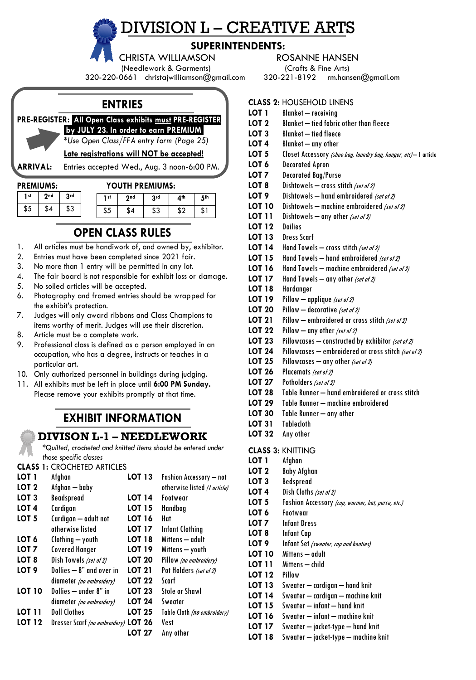# DIVISION L – CREATIVE ARTS

# **SUPERINTENDENTS:**

(Needlework & Garments) (Crafts & Fine Arts)

320-220-0661 christajwilliamson@gmail.com 320-221-8192 [rm.hansen@gmail.om](mailto:rm.hansen@gmail.om)

# **ENTRIES**

**PRE-REGISTER:** .**All Open Class exhibits must PRE-REGISTER**

**.by JULY 23***.* **In order to earn PREMIUM.** *\*Use Open Class/FFA entry form (Page 25)*

# **Late registrations will NOT be accepted!**

**ARRIVAL:** Entries accepted Wed., Aug. 3 noon-6:00 PM.

| <b>PREMIUMS:</b> |  |
|------------------|--|
|------------------|--|

| <b>PREMIUMS:</b> | YOUTH PREMIUMS: |
|------------------|-----------------|
|                  |                 |

| 1 <sub>st</sub> | 2 <sub>nd</sub> | 3rd | 1 st | 2nd | 3rd | 4 <sup>th</sup> | 5th |
|-----------------|-----------------|-----|------|-----|-----|-----------------|-----|
| \$5             | \$4             | \$3 | ر ه  |     | აა  |                 | ъ   |

# **OPEN CLASS RULES**

- 1. All articles must be handiwork of, and owned by, exhibitor.
- 2. Entries must have been completed since 2021 fair.
- 3. No more than 1 entry will be permitted in any lot.
- 4. The fair board is not responsible for exhibit loss or damage.
- 5. No soiled articles will be accepted.
- 6. Photography and framed entries should be wrapped for the exhibit's protection.
- 7. Judges will only award ribbons and Class Champions to items worthy of merit. Judges will use their discretion.
- 8. Article must be a complete work.
- 9. Professional class is defined as a person employed in an occupation, who has a degree, instructs or teaches in a particular art.
- 10. Only authorized personnel in buildings during judging.
- 11. All exhibits must be left in place until **6:00 PM Sunday.** Please remove your exhibits promptly at that time.

# **EXHIBIT INFORMATION**

# **DIVISON L-1 – NEEDLEWORK**

*\*Quilted, crocheted and knitted items should be entered under those specific classes*

#### **CLASS 1:** CROCHETED ARTICLES

| LOT 1            | Afghan                               | <b>LOT 13</b> | <b>Fashion Accessory - not</b> |
|------------------|--------------------------------------|---------------|--------------------------------|
| LOT 2            | Afghan - baby                        |               | otherwise listed (1 article)   |
| LOT 3            | Beadspread                           | <b>LOT 14</b> | Footwear                       |
| LOT 4            | Cardigan                             | <b>LOT 15</b> | Handbag                        |
| LOT 5            | Cardigan — adult not                 | <b>LOT 16</b> | Hat                            |
|                  | otherwise listed                     | <b>LOT 17</b> | Infant Clothing                |
| LOT 6            | Clothing - youth                     | <b>LOT 18</b> | Mittens — adult                |
| LOT 7            | <b>Covered Hanger</b>                | LOT 19        | Mittens — youth                |
| LOT 8            | Dish Towels (set of 2)               | <b>LOT 20</b> | Pillow (no embroidery)         |
| LOT <sub>9</sub> | Dollies - 8" and over in             | <b>LOT 21</b> | Pot Holders (set of 2)         |
|                  | diameter (no embroidery)             | <b>LOT 22</b> | Scarf                          |
| <b>LOT 10</b>    | Dollies - under 8" in                | LOT 23        | <b>Stole or Shawl</b>          |
|                  | diameter (no embroidery)             | <b>LOT 24</b> | Sweater                        |
| LOT 11           | <b>Doll Clothes</b>                  | LOT 25        | Table Cloth (no embroidery)    |
| <b>LOT 12</b>    | Dresser Scarf (no embroidery) LOT 26 |               | Vest                           |
|                  |                                      | LOT 27        | Any other                      |

## CHRISTA WILLIAMSON ROSANNE HANSEN

# **CLASS 2: HOUSEHOLD LINENS**<br>**LOT 1** Blanket - receiving

- **LOT 1** Blanket receiving
- **LOT 2** Blanket tied fabric other than fleece
- **LOT 3** Blanket tied fleece
- **LOT 4** Blanket any other
- LOT 5 Closet Accessory (shoe bag, laundry bag, hanger, etc)-1 article
- **LOT 6** Decorated Apron
- **LOT 7** Decorated Bag/Purse
- LOT 8 Dishtowels cross stitch (set of 2)
- **LOT 9** Dishtowels hand embroidered (set of 2)
- **LOT 10** Dishtowels machine embroidered (set of 2)
- **LOT 11** Dishtowels any other (set of 2)
- **LOT 12** Doilies
- **LOT 13** Dress Scarf
- LOT 14 Hand Towels cross stitch (set of 2)
- **LOT 15** Hand Towels hand embroidered (set of 2)
- **LOT 16** Hand Towels machine embroidered (set of 2)
- LOT 17 Hand Towels any other (set of 2)
- **LOT 18** Hardanger
- **LOT 19** Pillow applique (set of 2)
- **LOT 20** Pillow decorative (set of 2)
- **LOT 21** Pillow embroidered or cross stitch (set of 2)
- **LOT 22** Pillow any other (set of 2)
- **LOT 23** Pillowcases constructed by exhibitor (set of 2)
- **LOT 24** Pillowcases embroidered or cross stitch (set of 2)
- **LOT 25** Pillowcases any other (set of 2)
- LOT 26 Placemats (set of 2)
- LOT 27 Potholders (set of 2) **LOT 28** Table Runner – hand embroidered or cross stitch
- **LOT 29** Table Runner machine embroidered
- 
- **LOT 30** Table Runner any other **LOT 31** Tablecloth
- **LOT 32** Any other

#### **CLASS 3:** KNITTING

- **LOT 1** Afghan **LOT 2** Baby Afghan **LOT 3** Bedspread **LOT 4** Dish Cloths (set of 2) LOT 5 Fashion Accessory (cap, warmer, hat, purse, etc.) **LOT 6** Footwear **LOT 7** Infant Dress **LOT 8** Infant Cap **LOT 9** Infant Set (sweater, cap and booties) **LOT 10** Mittens – adult **LOT 11** Mittens – child **LOT 12** Pillow **LOT 13** Sweater – cardigan – hand knit **LOT 14** Sweater – cardigan – machine knit
- **LOT 15** Sweater infant hand knit
- **LOT 16** Sweater infant machine knit
- **LOT 17** Sweater jacket-type hand knit
- **LOT 18** Sweater jacket-type machine knit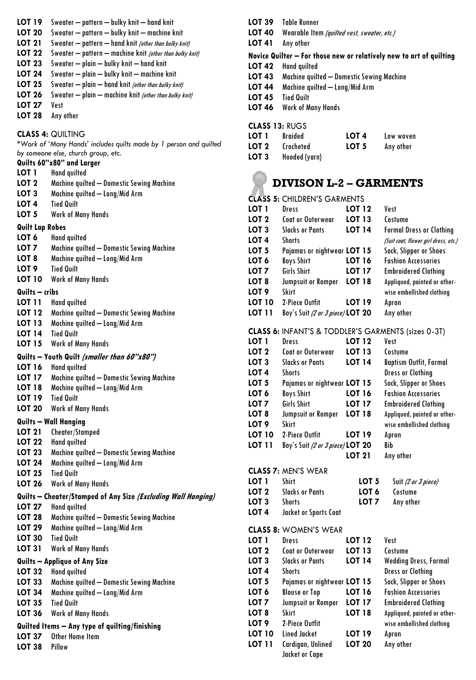|  |  |  | LOT 19 Sweater - pattern - bulky knit - hand knit |
|--|--|--|---------------------------------------------------|
|--|--|--|---------------------------------------------------|

- **LOT 20** Sweater pattern bulky knit machine knit
- **LOT 21** Sweater pattern hand knit (other than bulky knit)
- LOT 22 Sweater pattern machine knit (other than bulky knit)
- **LOT 23** Sweater plain bulky knit hand knit
- **LOT 24** Sweater plain bulky knit machine knit
- **LOT 25** Sweater plain hand knit (other than bulky knit)
- **LOT 26** Sweater plain machine knit (other than bulky knit)
- **LOT 27** Vest
- **LOT 28** Any other

# **CLASS 4:** QUILTING

*\*Work of 'Many Hands' includes quilts made by 1 person and quilted by someone else, church group, etc.*

# **Quilts 60"x80" and Larger**

- **LOT 1** Hand quilted
- **LOT 2** Machine quilted Domestic Sewing Machine
- **LOT 3** Machine quilted Long/Mid Arm
- **LOT 4** Tied Quilt
- **LOT 5** Work of Many Hands

### **Quilt Lap Robes**

- **LOT 6** Hand quilted
- **LOT 7** Machine quilted Domestic Sewing Machine
- **LOT 8** Machine quilted Long/Mid Arm
- **LOT 9** Tied Quilt
- **LOT 10** Work of Many Hands

### **Quilts – cribs**

- **LOT 11** Hand quilted
- **LOT 12** Machine quilted Domestic Sewing Machine
- **LOT 13** Machine quilted Long/Mid Arm
- **LOT 14** Tied Quilt
- **LOT 15** Work of Many Hands

### **Quilts – Youth Quilt (smaller than 60"x80")**

- **LOT 16** Hand quilted
- **LOT 17** Machine quilted Domestic Sewing Machine
- **LOT 18** Machine quilted Long/Mid Arm
- **LOT 19** Tied Quilt **LOT 20** Work of Many Hands

# **Quilts – Wall Hanging**

- **LOT 21** Cheater/Stamped
- **LOT 22** Hand quilted
- **LOT 23** Machine quilted Domestic Sewing Machine
- **LOT 24** Machine quilted Long/Mid Arm
- **LOT 25** Tied Quilt
- **LOT 26** Work of Many Hands

# **Quilts – Cheater/Stamped of Any Size (Excluding Wall Hanging)**

- **LOT 27** Hand quilted
- **LOT 28** Machine quilted Domestic Sewing Machine
- **LOT 29** Machine quilted Long/Mid Arm
- **LOT 30** Tied Quilt
- **LOT 31** Work of Many Hands

### **Quilts – Applique of Any Size**

- **LOT 32** Hand quilted
- **LOT 33** Machine quilted Domestic Sewing Machine
- **LOT 34** Machine quilted Long/Mid Arm
- **LOT 35** Tied Quilt
- **LOT 36** Work of Many Hands

# **Quilted Items – Any type of quilting/finishing**

- **LOT 37** Other Home Item
- **LOT 38** Pillow
- **LOT 39** Table Runner
- **LOT 40** Wearable Item (quilted vest, sweater, etc.)
- **LOT 41** Any other

# **Novice Quilter – For those new or relatively new to art of quilting**

- **LOT 42** Hand quilted
- **LOT 43** Machine quilted Domestic Sewing Machine
- **LOT 44** Machine quilted Long/Mid Arm
- **LOT 45** Tied Quilt
- **LOT 46** Work of Many Hands

# **CLASS 13:** RUGS

| LOT 1 | Braided       | LOT <sub>4</sub> | Low woven |
|-------|---------------|------------------|-----------|
| LOT 2 | Crocheted     | LOT 5            | Any other |
| LOT 3 | Hooded (yarn) |                  |           |

# **DIVISON L-2 – GARMENTS**

### **CLASS 5:** CHILDREN'S GARMENTS **LOT 1** Dress **LOT 12** Vest **LOT 2** Coat or Outerwear **LOT 13** Costume **LOT 3** Slacks or Pants **LOT 14** Formal Dress or Clothing **LOT 4** Shorts (Suit coat, flower girl dress, etc.) **LOT 5** Pajamas or nightwear **LOT 15** Sock, Slipper or Shoes **LOT 6** Boys Shirt **LOT 16** Fashion Accessories **LOT 7** Girls Shirt **LOT 17** Embroidered Clothing **LOT 8** Jumpsuit or Romper **LOT 18** Appliqued, painted or other-**LOT 9** Skirt wise embellished clothing **LOT 10** 2-Piece Outfit **LOT 19** Apron **LOT 11** Boy's Suit (2 or 3 piece) **LOT 20** Any other **CLASS 6:** INFANT'S & TODDLER'S GARMENTS (sizes 0-3T) **LOT 1** Dress **LOT 12** Vest **LOT 2** Coat or Outerwear **LOT 13** Costume **LOT 3** Slacks or Pants **LOT 14** Baptism Outfit, Formal **LOT 4** Shorts **Dress or Clothing LOT 5** Pajamas or nightwear **LOT 15** Sock, Slipper or Shoes **LOT 6** Boys Shirt **LOT 16** Fashion Accessories **LOT 7** Girls Shirt **LOT 17** Embroidered Clothing **LOT 8** Jumpsuit or Romper **LOT 18** Appliqued, painted or other-**LOT 9** Skirt wise embellished clothing **LOT 10** 2-Piece Outfit **LOT 19** Apron **LOT 11** Boy's Suit (2 or 3 piece) **LOT 20** Bib **LOT 21** Any other **CLASS 7:** MEN'S WEAR **LOT 1** Shirt **LOT 5** Suit (2 or 3 piece) **LOT 2** Slacks or Pants **LOT 6** Costume **LOT 3** Shorts **LOT 7** Any other **LOT 4** Jacket or Sports Coat **CLASS 8:** WOMEN'S WEAR **LOT 1** Dress **LOT 12** Vest **LOT 2** Coat or Outerwear **LOT 13** Costume **LOT 3** Slacks or Pants **LOT 14** Wedding Dress, Formal **LOT 4** Shorts **Dress or Clothing LOT 5** Pajamas or nightwear **LOT 15** Sock, Slipper or Shoes **LOT 6** Blouse or Top **LOT 16** Fashion Accessories **LOT 7** Jumpsuit or Romper **LOT 17** Embroidered Clothing **LOT 8** Skirt **LOT 18** Appliqued, painted or other-**LOT 9** 2-Piece Outfit 2001 wise embellished clothing **LOT 10** Lined Jacket **LOT 19** Apron **LOT 11** Cardigan, Unlined **LOT 20** Any other

Jacket or Cape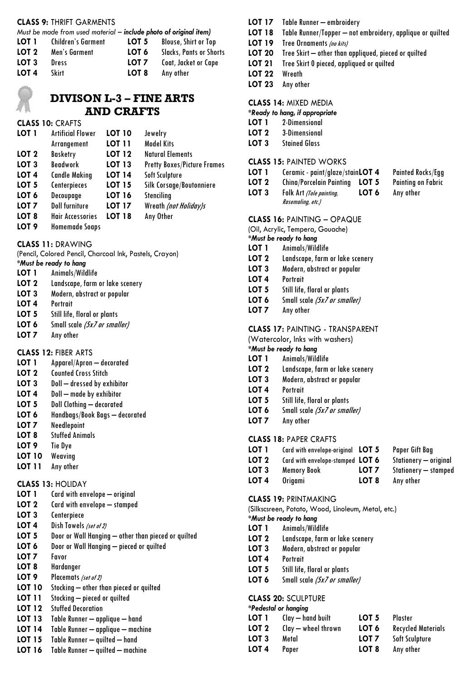#### **CLASS 9:** THRIFT GARMENTS

| Must be made from used material – include photo of original item) |                           |                  |                                |  |  |
|-------------------------------------------------------------------|---------------------------|------------------|--------------------------------|--|--|
| LOT 1                                                             | <b>Children's Garment</b> | LOT 5            | <b>Blouse, Shirt or Top</b>    |  |  |
| LOT 2                                                             | Men's Garment             | LOT 6            | <b>Slacks, Pants or Shorts</b> |  |  |
| LOT 3                                                             | Dress                     | LOT <sub>7</sub> | Coat, Jacket or Cape           |  |  |
| LOT <sub>4</sub>                                                  | Skirt                     | LOT 8            | Any other                      |  |  |

# **DIVISON L-3 – FINE ARTS AND CRAFTS**

#### **CLASS 10:** CRAFTS

| LOT 1            | <b>Artificial Flower</b> | <b>LOT 10</b> | Jewelry                            |
|------------------|--------------------------|---------------|------------------------------------|
|                  | Arrangement              | <b>LOT 11</b> | <b>Model Kits</b>                  |
| LOT <sub>2</sub> | Basketry                 | <b>LOT 12</b> | <b>Natural Elements</b>            |
| LOT <sub>3</sub> | <b>Beadwork</b>          | <b>LOT 13</b> | <b>Pretty Boxes/Picture Frames</b> |
| LOT <sub>4</sub> | <b>Candle Making</b>     | <b>LOT 14</b> | Soft Sculpture                     |
| LOT <sub>5</sub> | Centerpieces             | <b>LOT 15</b> | Silk Corsage/Boutonniere           |
| LOT <sub>6</sub> | Decoupage                | <b>LOT 16</b> | Stenciling                         |
| LOT <sub>7</sub> | <b>Doll furniture</b>    | <b>LOT 17</b> | Wreath (not Holiday)s              |
| LOT <sub>8</sub> | <b>Hair Accessories</b>  | <b>LOT 18</b> | Any Other                          |
|                  |                          |               |                                    |

# **LOT 9** Homemade Soaps

#### **CLASS 11:** DRAWING

(Pencil, Colored Pencil, Charcoal Ink, Pastels, Crayon)

- *\*Must be ready to hang*
- **LOT 1** Animals/Wildlife
- **LOT 2** Landscape, farm or lake scenery
- **LOT 3** Modern, abstract or popular
- **LOT 4** Portrait
- **LOT 5** Still life, floral or plants
- **LOT 6** Small scale (5x7 or smaller)
- **LOT 7** Any other

#### **CLASS 12:** FIBER ARTS

- **LOT 1** Apparel/Apron decorated
- **LOT 2** Counted Cross Stitch
- **LOT 3** Doll dressed by exhibitor<br>**LOT 4** Doll made by exhibitor
- **LOT 4** Doll made by exhibitor
- **LOT 5** Doll Clothing decorated
- **LOT 6** Handbags/Book Bags decorated
- **LOT 7** Needlepoint
- **LOT 8** Stuffed Animals
- **LOT 9** Tie Dye
- **LOT 10** Weaving
- **LOT 11** Any other

#### **CLASS 13:** HOLIDAY

- **LOT 1** Card with envelope original
- **LOT 2** Card with envelope stamped
- **LOT 3** Centerpiece
- **LOT 4** Dish Towels (set of 2)
- **LOT 5** Door or Wall Hanging other than pieced or quilted
- **LOT 6** Door or Wall Hanging pieced or quilted
- **LOT 7** Favor
- **LOT 8** Hardanger
- LOT 9 Placemats (set of 2)
- **LOT 10** Stocking other than pieced or quilted<br>**LOT 11** Stocking pieced or quilted
- Stocking pieced or quilted
- **LOT 12** Stuffed Decoration
- **LOT 13** Table Runner applique hand
- **LOT 14** Table Runner applique machine
- **LOT 15** Table Runner quilted hand
- **LOT 16** Table Runner quilted machine

#### **LOT 17** Table Runner – embroidery

- **LOT 18** Table Runner/Topper not embroidery, applique or quilted
- LOT 19 Tree Ornaments (no kits)
- **LOT 20** Tree Skirt other than appliqued, pieced or quilted
- **LOT 21** Tree Skirt 0 pieced, appliqued or quilted
- **LOT 22** Wreath
- **LOT 23** Any other

#### **CLASS 14:** MIXED MEDIA

#### *\*Ready to hang, if appropriate*

- **LOT 1** 2-Dimensional
- **LOT 2** 3-Dimensional
- **LOT 3** Stained Glass

#### **CLASS 15:** PAINTED WORKS

- **LOT 1** Ceramic paint/glaze/stain**LOT 4** Painted Rocks/Egg
- **LOT 2** China/Porcelain Painting **LOT 5** Painting on Fabric
- **LOT 3** Folk Art (Tole painting, **LOT 6** Any other Rasemaling, etc.)
	-
- **CLASS 16:** PAINTING OPAQUE (Oil, Acrylic, Tempera, Gouache)
- *\*Must be ready to hang*
- **LOT 1** Animals/Wildlife
- **LOT 2** Landscape, farm or lake scenery
- **LOT 3** Modern, abstract or popular
- **LOT 4** Portrait
- **LOT 5** Still life, floral or plants
- **LOT 6** Small scale (5x7 or smaller)
- **LOT 7** Any other

#### **CLASS 17:** PAINTING - TRANSPARENT

- (Watercolor, Inks with washers)
- *\*Must be ready to hang*
- **LOT 1** Animals/Wildlife
- **LOT 2** Landscape, farm or lake scenery
- **LOT 3** Modern, abstract or popular
- **LOT 4** Portrait
- **LOT 5** Still life, floral or plants
- **LOT 6** Small scale (5x7 or smaller)
- **LOT 7** Any other

#### **CLASS 18:** PAPER CRAFTS

**LOT 1** Card with envelope-original **LOT 5** Paper Gift Bag **LOT 2** Card with envelope-stamped **LOT 6** Stationery – original **LOT 3** Memory Book **LOT 7** Stationery – stamped **LOT 4** Origami **LOT 8** Any other

#### **CLASS 19:** PRINTMAKING

(Silkscsreen, Potato, Wood, Linoleum, Metal, etc.)

# *\*Must be ready to hang*

- **LOT 1** Animals/Wildlife
- **LOT 2** Landscape, farm or lake scenery
- **LOT 3** Modern, abstract or popular
- **LOT 4** Portrait
- **LOT 5** Still life, floral or plants
- **LOT 6** Small scale (5x7 or smaller)

#### **CLASS 20:** SCULPTURE *\*Pedestal or hanging*

|       | <b>regesial of hanging</b> |                  |                           |
|-------|----------------------------|------------------|---------------------------|
| LOT 1 | Clay — hand built          | LOT 5            | Plaster                   |
| LOT 2 | Clay — wheel thrown        | LOT 6            | <b>Recycled Materials</b> |
| LOT 3 | Metal                      | LOT <sub>7</sub> | Soft Sculpture            |
| LOT 4 | Paper                      | LOT 8            | Any other                 |
|       |                            |                  |                           |